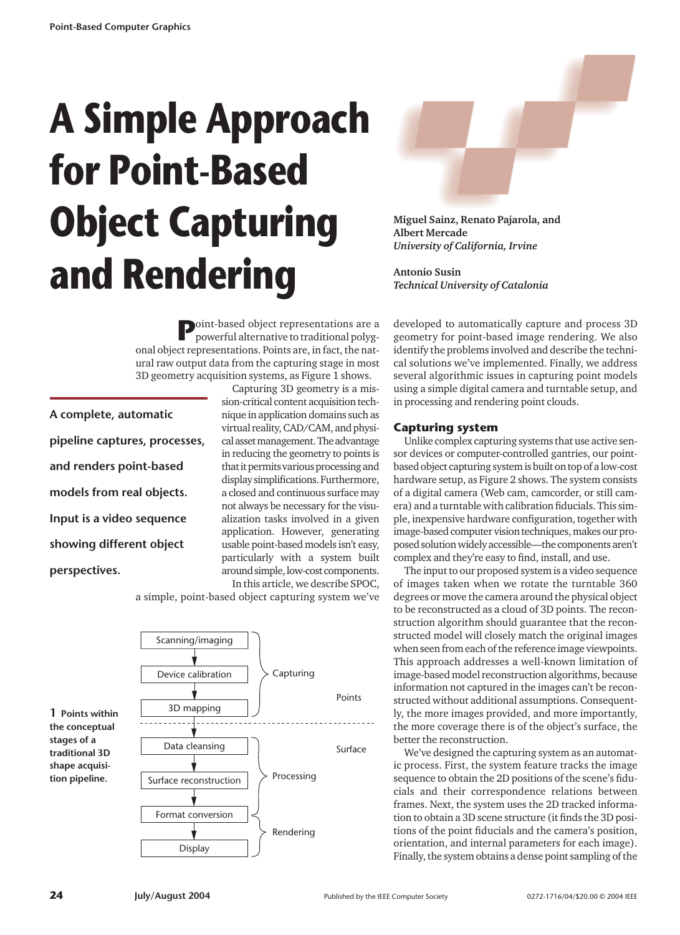# **A Simple Approach for Point-Based Object Capturing and Rendering**

**Miguel Sainz, Renato Pajarola, and Albert Mercade** *University of California, Irvine*

**Antonio Susin** *Technical University of Catalonia* 

**P**oint-based object representations are a powerful alternative to traditional polygonal object representations. Points are, in fact, the natural raw output data from the capturing stage in most 3D geometry acquisition systems, as Figure 1 shows.

**A complete, automatic pipeline captures, processes, and renders point-based models from real objects. Input is a video sequence showing different object perspectives.**

Capturing 3D geometry is a mission-critical content acquisition technique in application domains such as virtual reality, CAD/CAM, and physical asset management. The advantage in reducing the geometry to points is that it permits various processing and display simplifications. Furthermore, a closed and continuous surface may not always be necessary for the visualization tasks involved in a given application. However, generating usable point-based models isn't easy, particularly with a system built around simple, low-cost components. In this article, we describe SPOC,

a simple, point-based object capturing system we've



developed to automatically capture and process 3D geometry for point-based image rendering. We also identify the problems involved and describe the technical solutions we've implemented. Finally, we address several algorithmic issues in capturing point models using a simple digital camera and turntable setup, and in processing and rendering point clouds.

# **Capturing system**

Unlike complex capturing systems that use active sensor devices or computer-controlled gantries, our pointbased object capturing system is built on top of a low-cost hardware setup, as Figure 2 shows. The system consists of a digital camera (Web cam, camcorder, or still camera) and a turntable with calibration fiducials. This simple, inexpensive hardware configuration, together with image-based computer vision techniques, makes our proposed solution widely accessible—the components aren't complex and they're easy to find, install, and use.

The input to our proposed system is a video sequence of images taken when we rotate the turntable 360 degrees or move the camera around the physical object to be reconstructed as a cloud of 3D points. The reconstruction algorithm should guarantee that the reconstructed model will closely match the original images when seen from each of the reference image viewpoints. This approach addresses a well-known limitation of image-based model reconstruction algorithms, because information not captured in the images can't be reconstructed without additional assumptions. Consequently, the more images provided, and more importantly, the more coverage there is of the object's surface, the better the reconstruction.

We've designed the capturing system as an automatic process. First, the system feature tracks the image sequence to obtain the 2D positions of the scene's fiducials and their correspondence relations between frames. Next, the system uses the 2D tracked information to obtain a 3D scene structure (it finds the 3D positions of the point fiducials and the camera's position, orientation, and internal parameters for each image). Finally, the system obtains a dense point sampling of the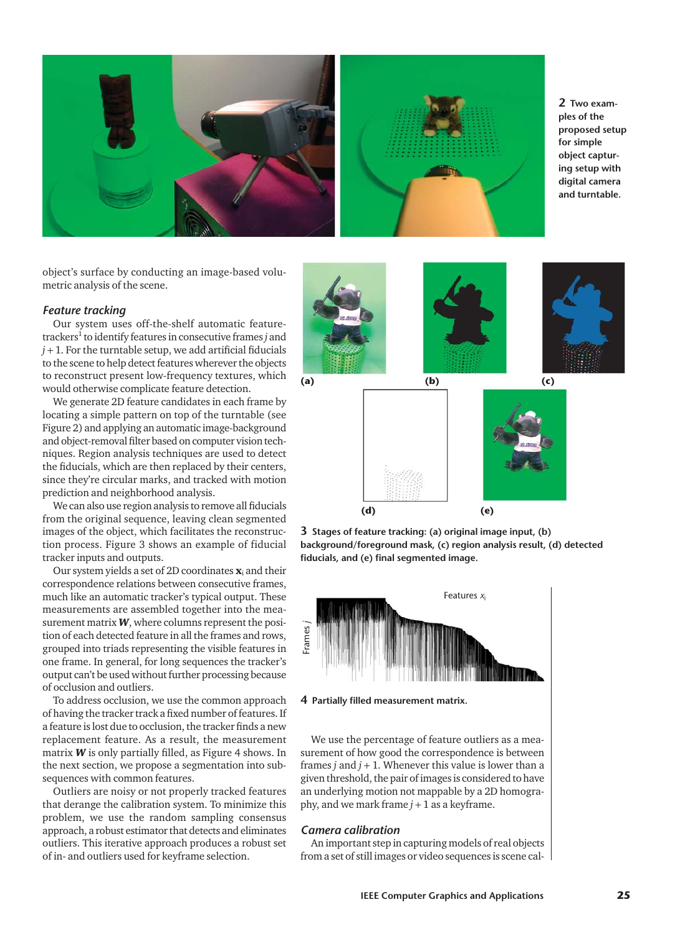

**2 Two examples of the proposed setup for simple object capturing setup with digital camera and turntable.**

object's surface by conducting an image-based volumetric analysis of the scene.

#### *Feature tracking*

Our system uses off-the-shelf automatic featuretrackers<sup>1</sup> to identify features in consecutive frames *j* and  $j + 1$ . For the turntable setup, we add artificial fiducials to the scene to help detect features wherever the objects to reconstruct present low-frequency textures, which would otherwise complicate feature detection.

We generate 2D feature candidates in each frame by locating a simple pattern on top of the turntable (see Figure 2) and applying an automatic image-background and object-removal filter based on computer vision techniques. Region analysis techniques are used to detect the fiducials, which are then replaced by their centers, since they're circular marks, and tracked with motion prediction and neighborhood analysis.

We can also use region analysis to remove all fiducials from the original sequence, leaving clean segmented images of the object, which facilitates the reconstruction process. Figure 3 shows an example of fiducial tracker inputs and outputs.

Our system yields a set of 2D coordinates  $\mathbf{x}_i$  and their correspondence relations between consecutive frames, much like an automatic tracker's typical output. These measurements are assembled together into the measurement matrix *W*, where columns represent the position of each detected feature in all the frames and rows, grouped into triads representing the visible features in one frame. In general, for long sequences the tracker's output can't be used without further processing because of occlusion and outliers.

To address occlusion, we use the common approach of having the tracker track a fixed number of features. If a feature is lost due to occlusion, the tracker finds a new replacement feature. As a result, the measurement matrix *W* is only partially filled, as Figure 4 shows. In the next section, we propose a segmentation into subsequences with common features.

Outliers are noisy or not properly tracked features that derange the calibration system. To minimize this problem, we use the random sampling consensus approach, a robust estimator that detects and eliminates outliers. This iterative approach produces a robust set of in- and outliers used for keyframe selection.



**3 Stages of feature tracking: (a) original image input, (b) background/foreground mask, (c) region analysis result, (d) detected fiducials, and (e) final segmented image.**

**(d) (e)**



**4 Partially filled measurement matrix.**

We use the percentage of feature outliers as a measurement of how good the correspondence is between frames  $j$  and  $j + 1$ . Whenever this value is lower than a given threshold, the pair of images is considered to have an underlying motion not mappable by a 2D homography, and we mark frame  $j + 1$  as a keyframe.

# *Camera calibration*

An important step in capturing models of real objects from a set of still images or video sequences is scene cal-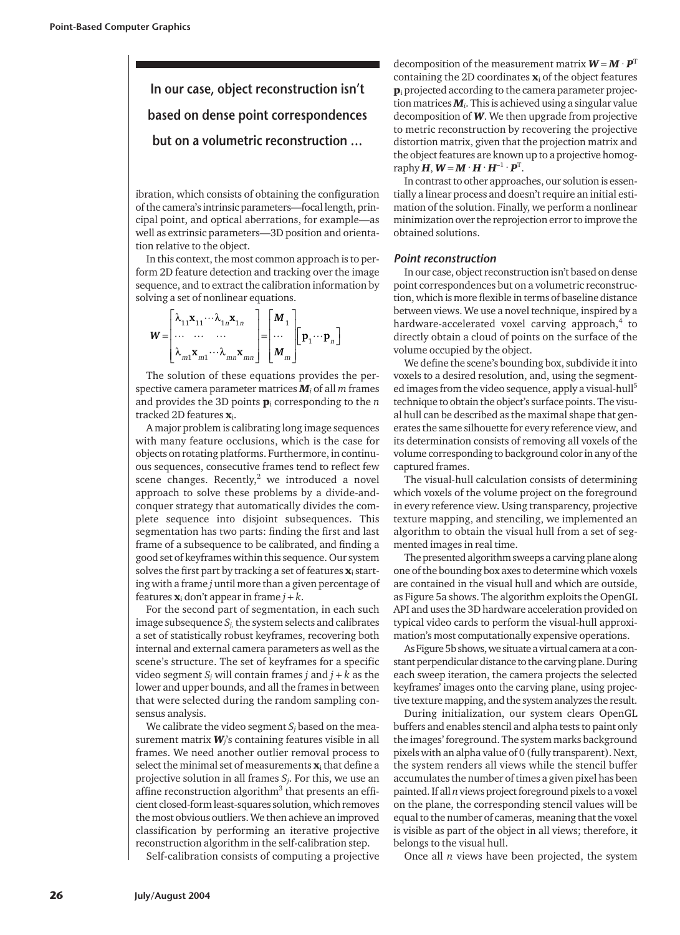**In our case, object reconstruction isn't based on dense point correspondences but on a volumetric reconstruction …**

ibration, which consists of obtaining the configuration of the camera's intrinsic parameters—focal length, principal point, and optical aberrations, for example—as well as extrinsic parameters—3D position and orientation relative to the object.

In this context, the most common approach is to perform 2D feature detection and tracking over the image sequence, and to extract the calibration information by solving a set of nonlinear equations.

$$
W = \begin{bmatrix} \lambda_{11} \mathbf{x}_{11} \cdots \lambda_{1n} \mathbf{x}_{1n} \\ \cdots & \cdots & \cdots \\ \lambda_{m1} \mathbf{x}_{m1} \cdots \lambda_{mn} \mathbf{x}_{mn} \end{bmatrix} = \begin{bmatrix} M_1 \\ \cdots \\ M_m \end{bmatrix} \begin{bmatrix} \mathbf{p}_1 \cdots \mathbf{p}_n \end{bmatrix}
$$

The solution of these equations provides the perspective camera parameter matrices *M<sup>i</sup>* of all *m* frames and provides the 3D points  $\mathbf{p}_i$  corresponding to the  $n$ tracked 2D features  $\mathbf{x}_i$ .

A major problem is calibrating long image sequences with many feature occlusions, which is the case for objects on rotating platforms. Furthermore, in continuous sequences, consecutive frames tend to reflect few scene changes. Recently, $2$  we introduced a novel approach to solve these problems by a divide-andconquer strategy that automatically divides the complete sequence into disjoint subsequences. This segmentation has two parts: finding the first and last frame of a subsequence to be calibrated, and finding a good set of keyframes within this sequence. Our system solves the first part by tracking a set of features  $\mathbf{x}_i$  starting with a frame *j* until more than a given percentage of features  $\mathbf{x}_i$  don't appear in frame  $j + k$ .

For the second part of segmentation, in each such image subsequence  $S_i$ , the system selects and calibrates a set of statistically robust keyframes, recovering both internal and external camera parameters as well as the scene's structure. The set of keyframes for a specific video segment  $S_j$  will contain frames *j* and  $j + k$  as the lower and upper bounds, and all the frames in between that were selected during the random sampling consensus analysis.

We calibrate the video segment  $S_j$  based on the measurement matrix *Wj*'s containing features visible in all frames. We need another outlier removal process to select the minimal set of measurements  $\mathbf{x}_i$  that define a projective solution in all frames *Sj*. For this, we use an affine reconstruction algorithm<sup>3</sup> that presents an efficient closed-form least-squares solution, which removes the most obvious outliers. We then achieve an improved classification by performing an iterative projective reconstruction algorithm in the self-calibration step.

Self-calibration consists of computing a projective

decomposition of the measurement matrix  $W = M \cdot P^{T}$ containing the 2D coordinates  $\mathbf{x}_i$  of the object features  $\mathbf{p}_i$  projected according to the camera parameter projection matrices *Mi*. This is achieved using a singular value decomposition of *W*. We then upgrade from projective to metric reconstruction by recovering the projective distortion matrix, given that the projection matrix and the object features are known up to a projective homography  $\boldsymbol{H}, \boldsymbol{W}$  =  $\boldsymbol{M} \cdot \boldsymbol{H} \cdot \boldsymbol{H}^{-1} \cdot \boldsymbol{P}^{\text{T}}$ .

In contrast to other approaches, our solution is essentially a linear process and doesn't require an initial estimation of the solution. Finally, we perform a nonlinear minimization over the reprojection error to improve the obtained solutions.

# *Point reconstruction*

In our case, object reconstruction isn't based on dense point correspondences but on a volumetric reconstruction, which is more flexible in terms of baseline distance between views. We use a novel technique, inspired by a hardware-accelerated voxel carving approach,<sup>4</sup> to directly obtain a cloud of points on the surface of the volume occupied by the object.

We define the scene's bounding box, subdivide it into voxels to a desired resolution, and, using the segmented images from the video sequence, apply a visual-hull<sup>5</sup> technique to obtain the object's surface points. The visual hull can be described as the maximal shape that generates the same silhouette for every reference view, and its determination consists of removing all voxels of the volume corresponding to background color in any of the captured frames.

The visual-hull calculation consists of determining which voxels of the volume project on the foreground in every reference view. Using transparency, projective texture mapping, and stenciling, we implemented an algorithm to obtain the visual hull from a set of segmented images in real time.

The presented algorithm sweeps a carving plane along one of the bounding box axes to determine which voxels are contained in the visual hull and which are outside, as Figure 5a shows. The algorithm exploits the OpenGL API and uses the 3D hardware acceleration provided on typical video cards to perform the visual-hull approximation's most computationally expensive operations.

As Figure 5b shows, we situate a virtual camera at a constant perpendicular distance to the carving plane. During each sweep iteration, the camera projects the selected keyframes' images onto the carving plane, using projective texture mapping, and the system analyzes the result.

During initialization, our system clears OpenGL buffers and enables stencil and alpha tests to paint only the images' foreground. The system marks background pixels with an alpha value of 0 (fully transparent). Next, the system renders all views while the stencil buffer accumulates the number of times a given pixel has been painted. If all *n* views project foreground pixels to a voxel on the plane, the corresponding stencil values will be equal to the number of cameras, meaning that the voxel is visible as part of the object in all views; therefore, it belongs to the visual hull.

Once all *n* views have been projected, the system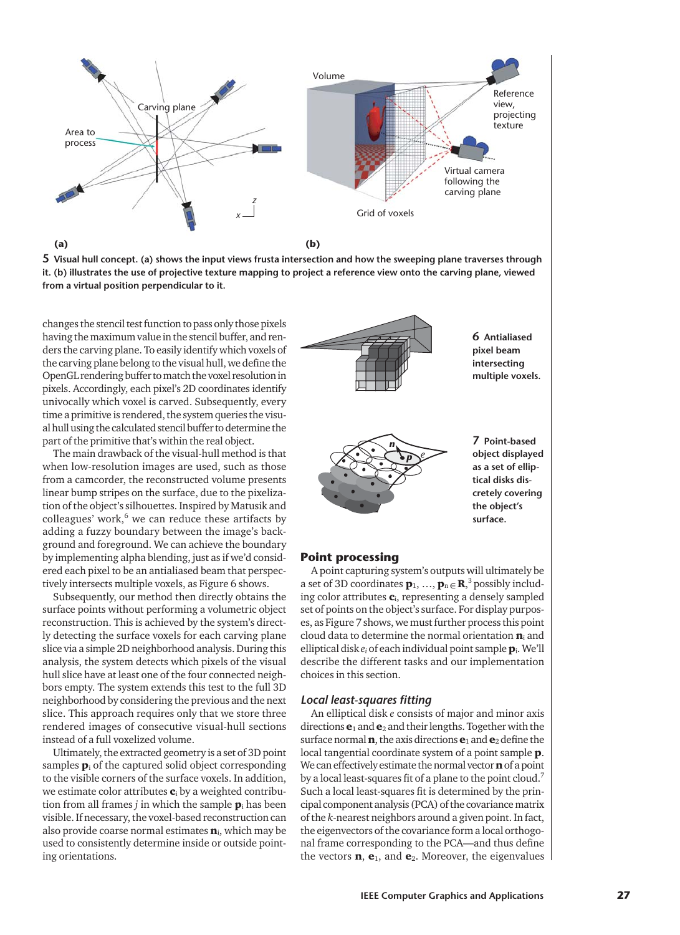



changes the stencil test function to pass only those pixels having the maximum value in the stencil buffer, and renders the carving plane. To easily identify which voxels of the carving plane belong to the visual hull, we define the OpenGL rendering buffer to match the voxel resolution in pixels. Accordingly, each pixel's 2D coordinates identify univocally which voxel is carved. Subsequently, every time a primitive is rendered, the system queries the visual hull using the calculated stencil buffer to determine the part of the primitive that's within the real object.

The main drawback of the visual-hull method is that when low-resolution images are used, such as those from a camcorder, the reconstructed volume presents linear bump stripes on the surface, due to the pixelization of the object's silhouettes. Inspired by Matusik and colleagues' work, $6$  we can reduce these artifacts by adding a fuzzy boundary between the image's background and foreground. We can achieve the boundary by implementing alpha blending, just as if we'd considered each pixel to be an antialiased beam that perspectively intersects multiple voxels, as Figure 6 shows.

Subsequently, our method then directly obtains the surface points without performing a volumetric object reconstruction. This is achieved by the system's directly detecting the surface voxels for each carving plane slice via a simple 2D neighborhood analysis. During this analysis, the system detects which pixels of the visual hull slice have at least one of the four connected neighbors empty. The system extends this test to the full 3D neighborhood by considering the previous and the next slice. This approach requires only that we store three rendered images of consecutive visual-hull sections instead of a full voxelized volume.

Ultimately, the extracted geometry is a set of 3D point samples  $\mathbf{p}_i$  of the captured solid object corresponding to the visible corners of the surface voxels. In addition, we estimate color attributes  $c_i$  by a weighted contribution from all frames  $j$  in which the sample  $\mathbf{p}_i$  has been visible. If necessary, the voxel-based reconstruction can also provide coarse normal estimates  $n_i$ , which may be used to consistently determine inside or outside pointing orientations.



# **Point processing**

A point capturing system's outputs will ultimately be a set of 3D coordinates  $\mathbf{p}_1, ..., \mathbf{p}_n \in \mathbb{R}^3$  possibly including color attributes  $c_i$ , representing a densely sampled set of points on the object's surface. For display purposes, as Figure 7 shows, we must further process this point cloud data to determine the normal orientation  $\mathbf{n}_i$  and elliptical disk *ei* of each individual point sample pi. We'll describe the different tasks and our implementation choices in this section.

#### *Local least-squares fitting*

An elliptical disk *e* consists of major and minor axis directions  $\mathbf{e}_1$  and  $\mathbf{e}_2$  and their lengths. Together with the surface normal **n**, the axis directions  $e_1$  and  $e_2$  define the local tangential coordinate system of a point sample p. We can effectively estimate the normal vector  $\mathbf n$  of a point by a local least-squares fit of a plane to the point cloud.<sup>7</sup> Such a local least-squares fit is determined by the principal component analysis (PCA) of the covariance matrix of the *k*-nearest neighbors around a given point. In fact, the eigenvectors of the covariance form a local orthogonal frame corresponding to the PCA—and thus define the vectors  $\mathbf{n}$ ,  $\mathbf{e}_1$ , and  $\mathbf{e}_2$ . Moreover, the eigenvalues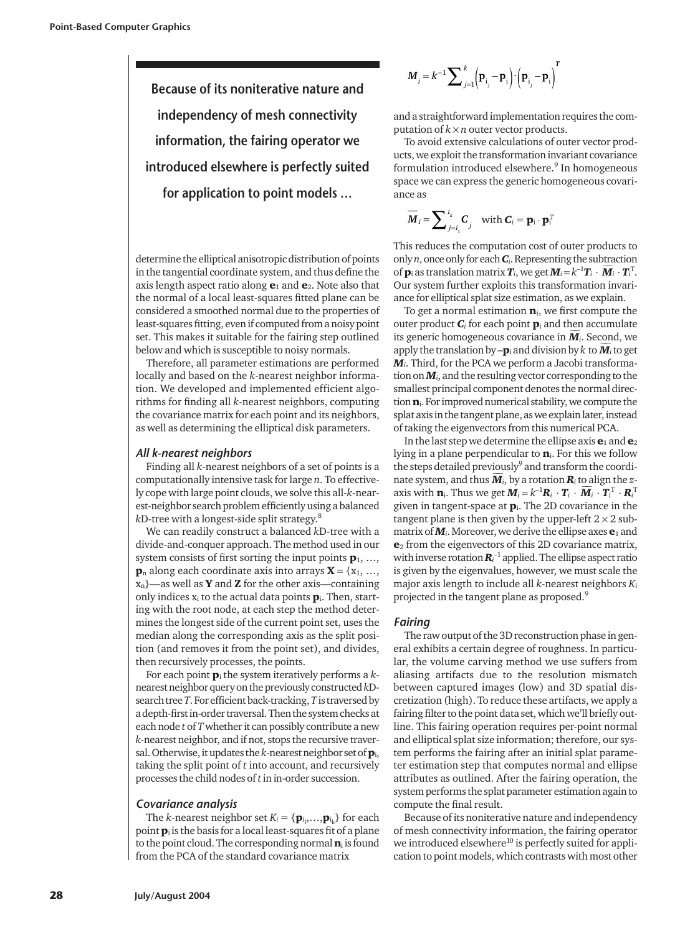**Because of its noniterative nature and independency of mesh connectivity information, the fairing operator we introduced elsewhere is perfectly suited for application to point models …**

determine the elliptical anisotropic distribution of points in the tangential coordinate system, and thus define the axis length aspect ratio along  $e_1$  and  $e_2$ . Note also that the normal of a local least-squares fitted plane can be considered a smoothed normal due to the properties of least-squares fitting, even if computed from a noisy point set. This makes it suitable for the fairing step outlined below and which is susceptible to noisy normals.

Therefore, all parameter estimations are performed locally and based on the *k*-nearest neighbor information. We developed and implemented efficient algorithms for finding all *k*-nearest neighbors, computing the covariance matrix for each point and its neighbors, as well as determining the elliptical disk parameters.

#### *All k-nearest neighbors*

Finding all *k*-nearest neighbors of a set of points is a computationally intensive task for large *n*. To effectively cope with large point clouds, we solve this all-*k*-nearest-neighbor search problem efficiently using a balanced *k*D-tree with a longest-side split strategy.8

We can readily construct a balanced *k*D-tree with a divide-and-conquer approach. The method used in our system consists of first sorting the input points  $\mathbf{p}_1, ...,$  $\mathbf{p}_n$  along each coordinate axis into arrays  $\mathbf{X} = \{x_1, \ldots, x_n\}$  $x_n$ }—as well as **Y** and **Z** for the other axis—containing only indices  $x_i$  to the actual data points  $\mathbf{p}_i$ . Then, starting with the root node, at each step the method determines the longest side of the current point set, uses the median along the corresponding axis as the split position (and removes it from the point set), and divides, then recursively processes, the points.

For each point p<sup>i</sup> the system iteratively performs a *k*nearest neighbor query on the previously constructed *k*Dsearch tree *T*. For efficient back-tracking, *T*is traversed by a depth-first in-order traversal. Then the system checks at each node *t* of *T*whether it can possibly contribute a new *k*-nearest neighbor, and if not, stops the recursive traversal. Otherwise, it updates the *k*-nearest neighbor set of pi, taking the split point of *t* into account, and recursively processes the child nodes of *t*in in-order succession.

#### *Covariance analysis*

The *k*-nearest neighbor set  $K_i = {\{ \mathbf{p}_{i_1},...,\mathbf{p}_{i_k} \}}$  for each point  $\mathbf{p}_i$  is the basis for a local least-squares fit of a plane to the point cloud. The corresponding normal  $\mathbf{n}_i$  is found from the PCA of the standard covariance matrix

$$
M_{i} = k^{-1} \sum \sum_{j=1}^{k} \left( \mathbf{p}_{i_{j}} - \mathbf{p}_{i} \right) \cdot \left( \mathbf{p}_{i_{j}} - \mathbf{p}_{i} \right)^{T}
$$

and a straightforward implementation requires the computation of  $k \times n$  outer vector products.

To avoid extensive calculations of outer vector products, we exploit the transformation invariant covariance formulation introduced elsewhere.<sup>9</sup> In homogeneous space we can express the generic homogeneous covariance as

$$
\overline{\boldsymbol{M}}_i = \sum\nolimits_{j=i_1}^{i_k} \boldsymbol{C}_j \quad \text{with } \boldsymbol{C}_i = \mathbf{p}_i \cdot \mathbf{p}_i^T
$$

This reduces the computation cost of outer products to only *n*, once only for each *Ci*. Representing the subtraction of  $\bm{p}_i$  as translation matrix  $\bm{T}_i$ , we get  $\bm{M}_i$  =  $k^{-1}\bm{T}_i\cdot\overline{\bm{M}}_i\cdot\bm{T}_i^{\rm T}.$ Our system further exploits this transformation invariance for elliptical splat size estimation, as we explain.

To get a normal estimation  $n_i$ , we first compute the outer product  $C_i$  for each point  $p_i$  and then accumulate its generic homogeneous covariance in  $M_i$ . Second, we apply the translation by  $-\mathbf{p}_i$  and division by  $k$  to  $\overline{\mathbf{M}}_i$  to get *Mi*. Third, for the PCA we perform a Jacobi transformation on *Mi*, and the resulting vector corresponding to the smallest principal component denotes the normal direction  $n_i$ . For improved numerical stability, we compute the splat axis in the tangent plane, as we explain later, instead of taking the eigenvectors from this numerical PCA.

In the last step we determine the ellipse axis  $\mathbf{e}_1$  and  $\mathbf{e}_2$ lying in a plane perpendicular to  $\mathbf{n}_i$ . For this we follow the steps detailed previously<sup>9</sup> and transform the coordinate system, and thus  $\overline{M}_i$ , by a rotation  $R_i$  to align the *z*axis with  $\mathbf{n}_i$ . Thus we get  $\boldsymbol{M}_i \!=\! k^{-1}\boldsymbol{R}_i\,\cdot\boldsymbol{T}_i\cdot\boldsymbol{\overline{M}}_i\cdot\boldsymbol{T}_i^{\rm T}\cdot\boldsymbol{R}_i^{\rm T}$ given in tangent-space at  $\mathbf{p}_i$ . The 2D covariance in the tangent plane is then given by the upper-left  $2 \times 2$  submatrix of  $M$ <sup>*i*</sup>. Moreover, we derive the ellipse axes  $e_1$  and  $e_2$  from the eigenvectors of this 2D covariance matrix, with inverse rotation  $\boldsymbol{R}_i^{-1}$  applied. The ellipse aspect ratio is given by the eigenvalues, however, we must scale the major axis length to include all *k*-nearest neighbors *Ki* projected in the tangent plane as proposed.9

#### *Fairing*

The raw output of the 3D reconstruction phase in general exhibits a certain degree of roughness. In particular, the volume carving method we use suffers from aliasing artifacts due to the resolution mismatch between captured images (low) and 3D spatial discretization (high). To reduce these artifacts, we apply a fairing filter to the point data set, which we'll briefly outline. This fairing operation requires per-point normal and elliptical splat size information; therefore, our system performs the fairing after an initial splat parameter estimation step that computes normal and ellipse attributes as outlined. After the fairing operation, the system performs the splat parameter estimation again to compute the final result.

Because of its noniterative nature and independency of mesh connectivity information, the fairing operator we introduced elsewhere<sup>10</sup> is perfectly suited for application to point models, which contrasts with most other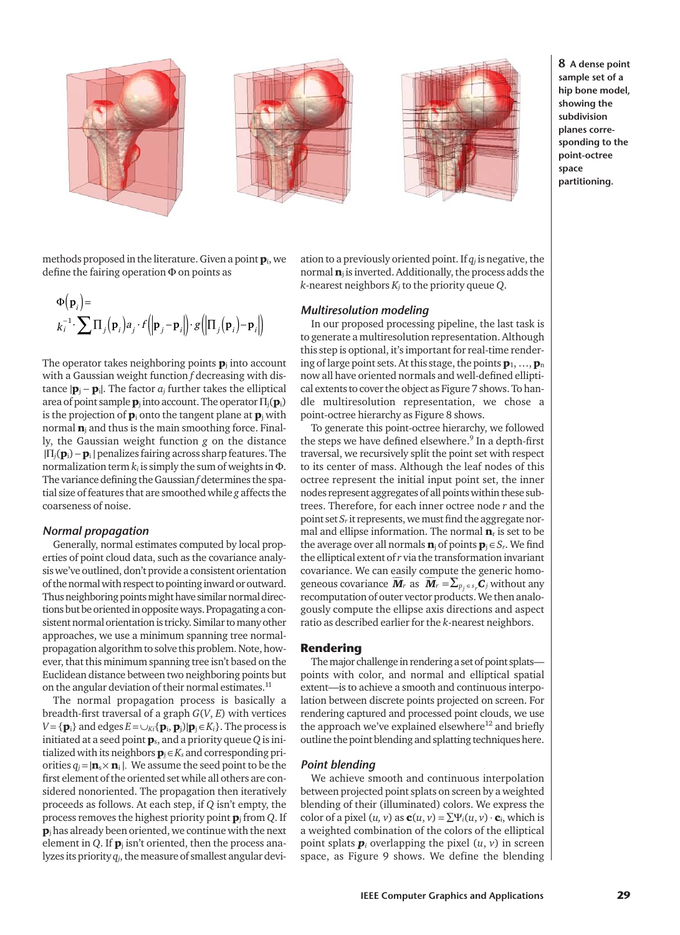





**8 A dense point sample set of a hip bone model, showing the subdivision planes corresponding to the point-octree space partitioning.**

methods proposed in the literature. Given a point  $\mathbf{p}_i$ , we define the fairing operation Φ on points as

$$
\Phi(\mathbf{p}_i) = \n\phantom{\mathbf{p}_i = \mathbf{p}_i \cdot \mathbf{p}_i \cdot \mathbf{p}_i \cdot \mathbf{p}_i \cdot \mathbf{p}_i \cdot \mathbf{p}_i \cdot \mathbf{p}_i \cdot \mathbf{p}_i \cdot \mathbf{p}_i \cdot \mathbf{p}_i \cdot \mathbf{p}_i \cdot \mathbf{p}_i \cdot \mathbf{p}_i}
$$

The operator takes neighboring points  $\mathbf{p}_i$  into account with a Gaussian weight function *f* decreasing with distance  $|\mathbf{p}_i - \mathbf{p}_i|$ . The factor  $a_i$  further takes the elliptical area of point sample  $\mathbf{p}_i$  into account. The operator  $\Pi_i(\mathbf{p}_i)$ is the projection of  $\mathbf{p}_i$  onto the tangent plane at  $\mathbf{p}_i$  with normal  $n_i$  and thus is the main smoothing force. Finally, the Gaussian weight function *g* on the distance |Π*j*(pi) −p<sup>i</sup> | penalizes fairing across sharp features. The normalization term *ki* is simply the sum of weights in Φ. The variance defining the Gaussian *f* determines the spatial size of features that are smoothed while *g* affects the coarseness of noise.

#### *Normal propagation*

Generally, normal estimates computed by local properties of point cloud data, such as the covariance analysis we've outlined, don't provide a consistent orientation of the normal with respect to pointing inward or outward. Thus neighboring points might have similar normal directions but be oriented in opposite ways. Propagating a consistent normal orientation is tricky. Similar to many other approaches, we use a minimum spanning tree normalpropagation algorithm to solve this problem. Note, however, that this minimum spanning tree isn't based on the Euclidean distance between two neighboring points but on the angular deviation of their normal estimates.<sup>11</sup>

The normal propagation process is basically a breadth-first traversal of a graph *G*(*V*, *E*) with vertices  $V = {\bf{p}_i}$  and edges  $E = \cup_{Ki} {\bf{p}_i, p_j}$  $|{\bf{p}_i \in K_i}$ . The process is initiated at a seed point ps, and a priority queue *Q* is initialized with its neighbors  $\mathbf{p}_i \in K_s$  and corresponding priorities  $q_i = |\mathbf{n}_s \times \mathbf{n}_i|$ . We assume the seed point to be the first element of the oriented set while all others are considered nonoriented. The propagation then iteratively proceeds as follows. At each step, if *Q* isn't empty, the process removes the highest priority point p<sup>j</sup> from *Q*. If  $\mathbf{p}_i$  has already been oriented, we continue with the next element in  $Q$ . If  $\mathbf{p}_j$  isn't oriented, then the process analyzes its priority *qj*, the measure of smallest angular deviation to a previously oriented point. If *qj* is negative, the normal  $n_i$  is inverted. Additionally, the process adds the *k*-nearest neighbors *Kj* to the priority queue *Q*.

# *Multiresolution modeling*

In our proposed processing pipeline, the last task is to generate a multiresolution representation. Although this step is optional, it's important for real-time rendering of large point sets. At this stage, the points  $\mathbf{p}_1, \ldots, \mathbf{p}_n$ now all have oriented normals and well-defined elliptical extents to cover the object as Figure 7 shows. To handle multiresolution representation, we chose a point-octree hierarchy as Figure 8 shows.

To generate this point-octree hierarchy, we followed the steps we have defined elsewhere.<sup>9</sup> In a depth-first traversal, we recursively split the point set with respect to its center of mass. Although the leaf nodes of this octree represent the initial input point set, the inner nodes represent aggregates of all points within these subtrees. Therefore, for each inner octree node *r* and the point set *Sr* it represents, we must find the aggregate normal and ellipse information. The normal  $\mathbf{n}_r$  is set to be the average over all normals  $\mathbf{n}_i$  of points  $\mathbf{p}_i \in S_r$ . We find the elliptical extent of *r* via the transformation invariant covariance. We can easily compute the generic homogeneous covariance  $\overline{M}_r$  as  $\overline{M}_r = \sum_{p_j \in s_r} \overline{C}_j$  without any recomputation of outer vector products. We then analogously compute the ellipse axis directions and aspect ratio as described earlier for the *k*-nearest neighbors.

#### **Rendering**

The major challenge in rendering a set of point splats points with color, and normal and elliptical spatial extent—is to achieve a smooth and continuous interpolation between discrete points projected on screen. For rendering captured and processed point clouds, we use the approach we've explained elsewhere $12$  and briefly outline the point blending and splatting techniques here.

## *Point blending*

We achieve smooth and continuous interpolation between projected point splats on screen by a weighted blending of their (illuminated) colors. We express the color of a pixel  $(u, v)$  as  $\mathbf{c}(u, v) = \sum \Psi_i(u, v) \cdot \mathbf{c}_i$ , which is a weighted combination of the colors of the elliptical point splats  $\boldsymbol{p}_i$  overlapping the pixel  $(u, v)$  in screen space, as Figure 9 shows. We define the blending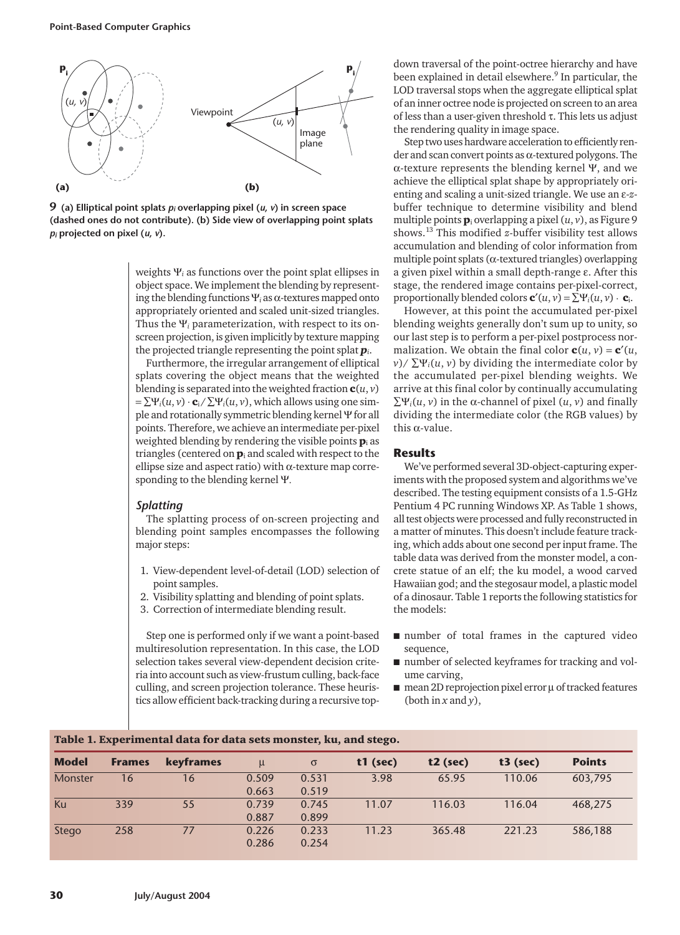

**9 (a) Elliptical point splats** *pi* **overlapping pixel (***u***,** *v***) in screen space (dashed ones do not contribute). (b) Side view of overlapping point splats** *pi* **projected on pixel (***u***,** *v***).**

weights Ψ*<sup>i</sup>* as functions over the point splat ellipses in object space. We implement the blending by representing the blending functions Ψ*<sup>i</sup>* as α-textures mapped onto appropriately oriented and scaled unit-sized triangles. Thus the Ψ*<sup>i</sup>* parameterization, with respect to its onscreen projection, is given implicitly by texture mapping the projected triangle representing the point splat *pi*.

Furthermore, the irregular arrangement of elliptical splats covering the object means that the weighted blending is separated into the weighted fraction  $\mathbf{c}(u, v)$  $=\sum \Psi_i(u, v) \cdot \mathbf{c}_i / \sum \Psi_i(u, v)$ , which allows using one simple and rotationally symmetric blending kernel Ψfor all points. Therefore, we achieve an intermediate per-pixel weighted blending by rendering the visible points  $\mathbf{p}_i$  as triangles (centered on  $\mathbf{p}_i$  and scaled with respect to the ellipse size and aspect ratio) with  $\alpha$ -texture map corresponding to the blending kernel Ψ.

# *Splatting*

The splatting process of on-screen projecting and blending point samples encompasses the following major steps:

- 1. View-dependent level-of-detail (LOD) selection of point samples.
- 2. Visibility splatting and blending of point splats.
- 3. Correction of intermediate blending result.

Step one is performed only if we want a point-based multiresolution representation. In this case, the LOD selection takes several view-dependent decision criteria into account such as view-frustum culling, back-face culling, and screen projection tolerance. These heuristics allow efficient back-tracking during a recursive top-

down traversal of the point-octree hierarchy and have been explained in detail elsewhere.<sup>9</sup> In particular, the LOD traversal stops when the aggregate elliptical splat of an inner octree node is projected on screen to an area of less than a user-given threshold τ. This lets us adjust the rendering quality in image space.

Step two uses hardware acceleration to efficiently render and scan convert points as  $\alpha$ -textured polygons. The α-texture represents the blending kernel Ψ, and we achieve the elliptical splat shape by appropriately orienting and scaling a unit-sized triangle. We use an ε-*z*buffer technique to determine visibility and blend multiple points p<sup>i</sup> overlapping a pixel (*u*, *v*), as Figure 9 shows.<sup>13</sup> This modified *z*-buffer visibility test allows accumulation and blending of color information from multiple point splats (α-textured triangles) overlapping a given pixel within a small depth-range ε. After this stage, the rendered image contains per-pixel-correct, proportionally blended colors  $\mathbf{c}'(u, v) = \sum \Psi_i(u, v) \cdot \mathbf{c}_i$ .

However, at this point the accumulated per-pixel blending weights generally don't sum up to unity, so our last step is to perform a per-pixel postprocess normalization. We obtain the final color  $\mathbf{c}(u, v) = \mathbf{c}'(u, v)$ *v*)/ $\Sigma\Psi_i(u, v)$  by dividing the intermediate color by the accumulated per-pixel blending weights. We arrive at this final color by continually accumulating ∑Ψ*i*(*u*, *v*) in the α-channel of pixel (*u*, *v*) and finally dividing the intermediate color (the RGB values) by this α-value.

#### **Results**

We've performed several 3D-object-capturing experiments with the proposed system and algorithms we've described. The testing equipment consists of a 1.5-GHz Pentium 4 PC running Windows XP. As Table 1 shows, all test objects were processed and fully reconstructed in a matter of minutes. This doesn't include feature tracking, which adds about one second per input frame. The table data was derived from the monster model, a concrete statue of an elf; the ku model, a wood carved Hawaiian god; and the stegosaur model, a plastic model of a dinosaur. Table 1 reports the following statistics for the models:

- number of total frames in the captured video sequence,
- number of selected keyframes for tracking and volume carving,
- mean 2D reprojection pixel error µ of tracked features (both in *x* and *y*),

| <b>Model</b> | <b>Frames</b> | <b>keyframes</b> | $\mu$ | $\sigma$ | $t1$ (sec) | $t2$ (sec) | $t3$ (sec) | <b>Points</b> |
|--------------|---------------|------------------|-------|----------|------------|------------|------------|---------------|
| Monster      | 16            | 16               | 0.509 | 0.531    | 3.98       | 65.95      | 110.06     | 603,795       |
|              |               |                  | 0.663 | 0.519    |            |            |            |               |
| Ku           | 339           | 55               | 0.739 | 0.745    | 11.07      | 116.03     | 116.04     | 468,275       |
|              |               |                  | 0.887 | 0.899    |            |            |            |               |
| Stego        | 258           | 77               | 0.226 | 0.233    | 11.23      | 365.48     | 221.23     | 586,188       |
|              |               |                  | 0.286 | 0.254    |            |            |            |               |

Table 1. Experimental data for data sets monster, ku, and stego.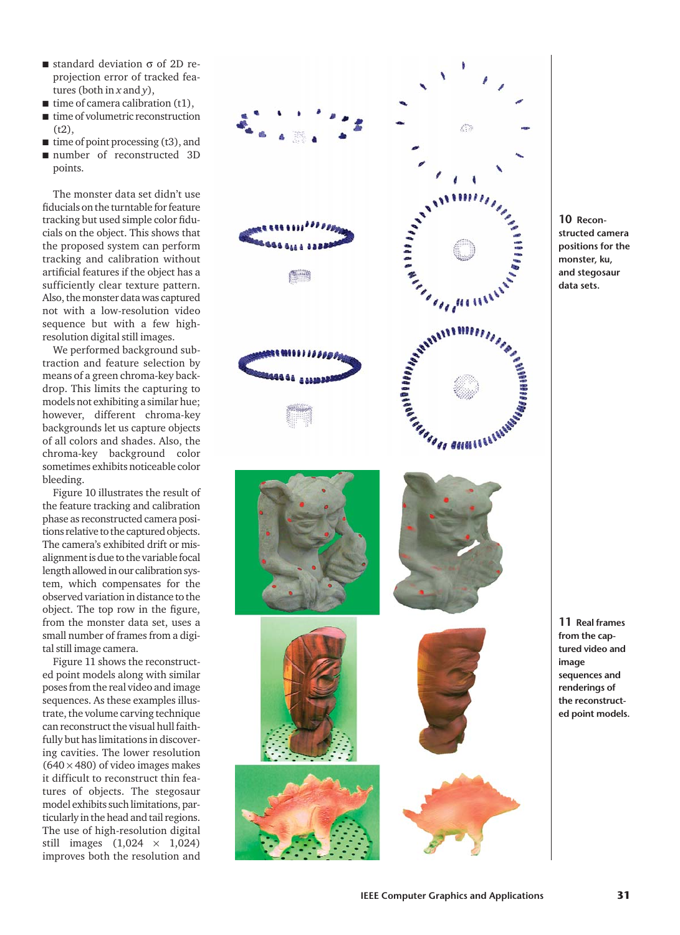- $\blacksquare$  standard deviation  $\sigma$  of 2D reprojection error of tracked features (both in *x* and *y*),
- $\blacksquare$  time of camera calibration (t1),
- time of volumetric reconstruction  $(t2)$ ,
- time of point processing (t3), and
- number of reconstructed 3D points.

The monster data set didn't use fiducials on the turntable for feature tracking but used simple color fiducials on the object. This shows that the proposed system can perform tracking and calibration without artificial features if the object has a sufficiently clear texture pattern. Also, the monster data was captured not with a low-resolution video sequence but with a few highresolution digital still images.

We performed background subtraction and feature selection by means of a green chroma-key backdrop. This limits the capturing to models not exhibiting a similar hue; however, different chroma-key backgrounds let us capture objects of all colors and shades. Also, the chroma-key background color sometimes exhibits noticeable color bleeding.

Figure 10 illustrates the result of the feature tracking and calibration phase as reconstructed camera positions relative to the captured objects. The camera's exhibited drift or misalignment is due to the variable focal length allowed in our calibration system, which compensates for the observed variation in distance to the object. The top row in the figure, from the monster data set, uses a small number of frames from a digital still image camera.

Figure 11 shows the reconstructed point models along with similar poses from the real video and image sequences. As these examples illustrate, the volume carving technique can reconstruct the visual hull faithfully but has limitations in discovering cavities. The lower resolution  $(640 \times 480)$  of video images makes it difficult to reconstruct thin features of objects. The stegosaur model exhibits such limitations, particularly in the head and tail regions. The use of high-resolution digital still images (1,024 × 1,024) improves both the resolution and



**10 Reconstructed camera positions for the monster, ku, and stegosaur data sets.**

**11 Real frames from the captured video and image sequences and renderings of the reconstructed point models.**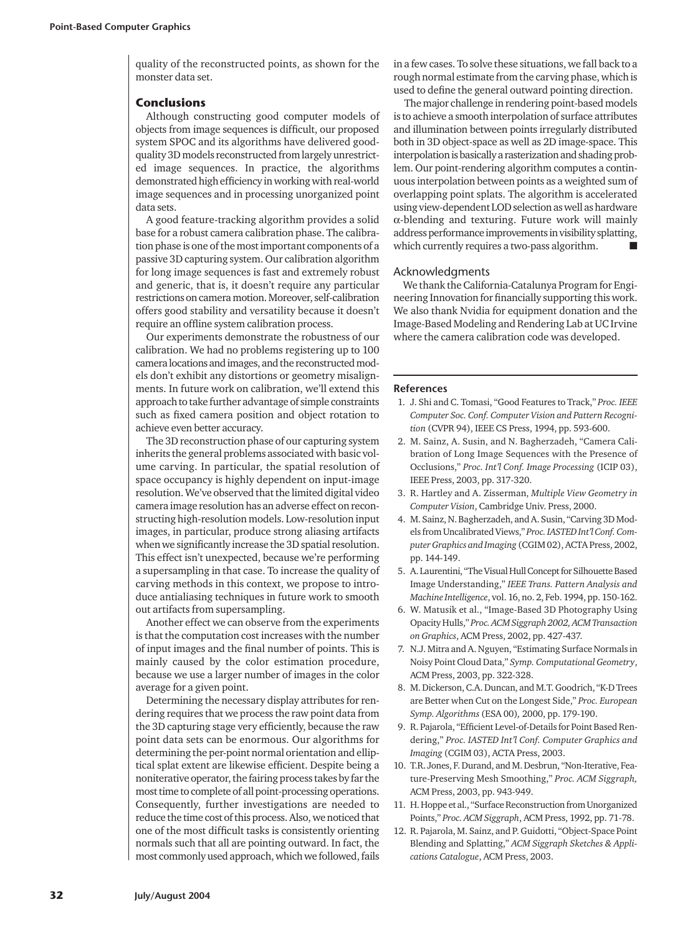quality of the reconstructed points, as shown for the monster data set.

#### **Conclusions**

Although constructing good computer models of objects from image sequences is difficult, our proposed system SPOC and its algorithms have delivered goodquality 3D models reconstructed from largely unrestricted image sequences. In practice, the algorithms demonstrated high efficiency in working with real-world image sequences and in processing unorganized point data sets.

A good feature-tracking algorithm provides a solid base for a robust camera calibration phase. The calibration phase is one of the most important components of a passive 3D capturing system. Our calibration algorithm for long image sequences is fast and extremely robust and generic, that is, it doesn't require any particular restrictions on camera motion. Moreover, self-calibration offers good stability and versatility because it doesn't require an offline system calibration process.

Our experiments demonstrate the robustness of our calibration. We had no problems registering up to 100 camera locations and images, and the reconstructed models don't exhibit any distortions or geometry misalignments. In future work on calibration, we'll extend this approach to take further advantage of simple constraints such as fixed camera position and object rotation to achieve even better accuracy.

The 3D reconstruction phase of our capturing system inherits the general problems associated with basic volume carving. In particular, the spatial resolution of space occupancy is highly dependent on input-image resolution. We've observed that the limited digital video camera image resolution has an adverse effect on reconstructing high-resolution models. Low-resolution input images, in particular, produce strong aliasing artifacts when we significantly increase the 3D spatial resolution. This effect isn't unexpected, because we're performing a supersampling in that case. To increase the quality of carving methods in this context, we propose to introduce antialiasing techniques in future work to smooth out artifacts from supersampling.

Another effect we can observe from the experiments is that the computation cost increases with the number of input images and the final number of points. This is mainly caused by the color estimation procedure, because we use a larger number of images in the color average for a given point.

Determining the necessary display attributes for rendering requires that we process the raw point data from the 3D capturing stage very efficiently, because the raw point data sets can be enormous. Our algorithms for determining the per-point normal orientation and elliptical splat extent are likewise efficient. Despite being a noniterative operator, the fairing process takes by far the most time to complete of all point-processing operations. Consequently, further investigations are needed to reduce the time cost of this process. Also, we noticed that one of the most difficult tasks is consistently orienting normals such that all are pointing outward. In fact, the most commonly used approach, which we followed, fails in a few cases. To solve these situations, we fall back to a rough normal estimate from the carving phase, which is used to define the general outward pointing direction.

The major challenge in rendering point-based models is to achieve a smooth interpolation of surface attributes and illumination between points irregularly distributed both in 3D object-space as well as 2D image-space. This interpolation is basically a rasterization and shading problem. Our point-rendering algorithm computes a continuous interpolation between points as a weighted sum of overlapping point splats. The algorithm is accelerated using view-dependent LOD selection as well as hardware α-blending and texturing. Future work will mainly address performance improvements in visibility splatting, which currently requires a two-pass algorithm.

### Acknowledgments

We thank the California-Catalunya Program for Engineering Innovation for financially supporting this work. We also thank Nvidia for equipment donation and the Image-Based Modeling and Rendering Lab at UC Irvine where the camera calibration code was developed.

#### **References**

- 1. J. Shi and C. Tomasi, "Good Features to Track," *Proc. IEEE Computer Soc. Conf. Computer Vision and Pattern Recognition* (CVPR 94), IEEE CS Press, 1994, pp. 593-600.
- 2. M. Sainz, A. Susin, and N. Bagherzadeh, "Camera Calibration of Long Image Sequences with the Presence of Occlusions," *Proc. Int'l Conf. Image Processing* (ICIP 03), IEEE Press, 2003, pp. 317-320.
- 3. R. Hartley and A. Zisserman, *Multiple View Geometry in Computer Vision*, Cambridge Univ. Press, 2000.
- 4. M. Sainz, N. Bagherzadeh, and A. Susin, "Carving 3D Models from Uncalibrated Views," *Proc. IASTED Int'l Conf. Computer Graphics and Imaging* (CGIM 02), ACTA Press, 2002, pp. 144-149.
- 5. A. Laurentini, "The Visual Hull Concept for Silhouette Based Image Understanding," *IEEE Trans. Pattern Analysis and Machine Intelligence*, vol. 16, no. 2, Feb. 1994, pp. 150-162.
- 6. W. Matusik et al., "Image-Based 3D Photography Using Opacity Hulls," *Proc. ACM Siggraph 2002, ACM Transaction on Graphics*, ACM Press, 2002, pp. 427-437.
- 7. N.J. Mitra and A. Nguyen, "Estimating Surface Normals in Noisy Point Cloud Data," *Symp. Computational Geometry*, ACM Press, 2003, pp. 322-328.
- 8. M. Dickerson, C.A. Duncan, and M.T. Goodrich, "K-D Trees are Better when Cut on the Longest Side," *Proc. European Symp. Algorithms* (ESA 00)*,* 2000, pp. 179-190.
- 9. R. Pajarola, "Efficient Level-of-Details for Point Based Rendering," *Proc. IASTED Int'l Conf. Computer Graphics and Imaging* (CGIM 03), ACTA Press, 2003.
- 10. T.R. Jones, F. Durand, and M. Desbrun, "Non-Iterative, Feature-Preserving Mesh Smoothing," *Proc. ACM Siggraph,* ACM Press, 2003, pp. 943-949.
- 11. H. Hoppe et al., "Surface Reconstruction from Unorganized Points," *Proc. ACM Siggraph*, ACM Press, 1992, pp. 71-78.
- 12. R. Pajarola, M. Sainz, and P. Guidotti, "Object-Space Point Blending and Splatting," *ACM Siggraph Sketches & Applications Catalogue*, ACM Press, 2003.